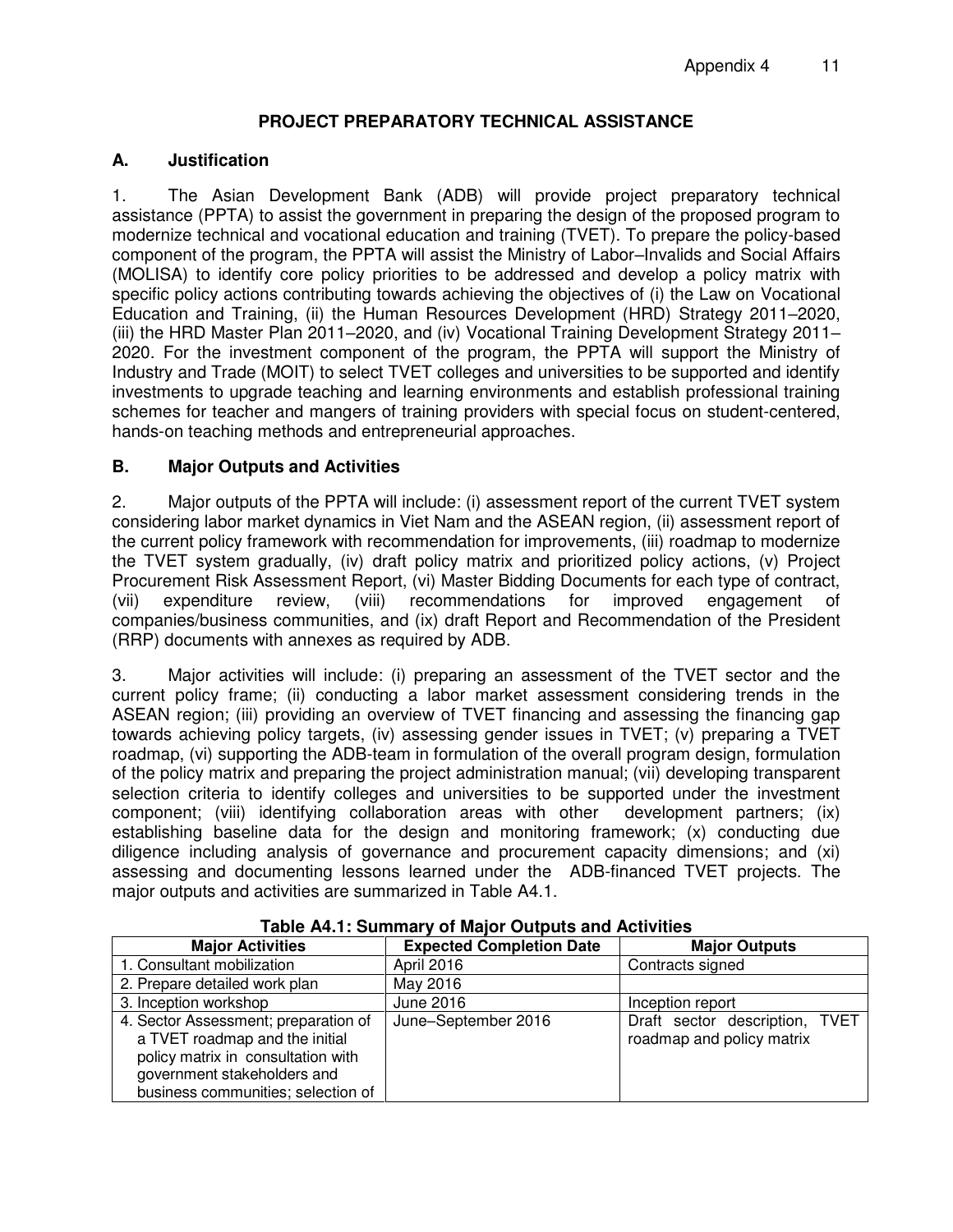### **PROJECT PREPARATORY TECHNICAL ASSISTANCE**

#### **A. Justification**

1. The Asian Development Bank (ADB) will provide project preparatory technical assistance (PPTA) to assist the government in preparing the design of the proposed program to modernize technical and vocational education and training (TVET). To prepare the policy-based component of the program, the PPTA will assist the Ministry of Labor–Invalids and Social Affairs (MOLISA) to identify core policy priorities to be addressed and develop a policy matrix with specific policy actions contributing towards achieving the objectives of (i) the Law on Vocational Education and Training, (ii) the Human Resources Development (HRD) Strategy 2011–2020, (iii) the HRD Master Plan 2011–2020, and (iv) Vocational Training Development Strategy 2011– 2020. For the investment component of the program, the PPTA will support the Ministry of Industry and Trade (MOIT) to select TVET colleges and universities to be supported and identify investments to upgrade teaching and learning environments and establish professional training schemes for teacher and mangers of training providers with special focus on student-centered, hands-on teaching methods and entrepreneurial approaches.

#### **B. Major Outputs and Activities**

2. Major outputs of the PPTA will include: (i) assessment report of the current TVET system considering labor market dynamics in Viet Nam and the ASEAN region, (ii) assessment report of the current policy framework with recommendation for improvements, (iii) roadmap to modernize the TVET system gradually, (iv) draft policy matrix and prioritized policy actions, (v) Project Procurement Risk Assessment Report, (vi) Master Bidding Documents for each type of contract, (vii) expenditure review, (viii) recommendations for improved engagement of companies/business communities, and (ix) draft Report and Recommendation of the President (RRP) documents with annexes as required by ADB.

3. Major activities will include: (i) preparing an assessment of the TVET sector and the current policy frame; (ii) conducting a labor market assessment considering trends in the ASEAN region; (iii) providing an overview of TVET financing and assessing the financing gap towards achieving policy targets, (iv) assessing gender issues in TVET; (v) preparing a TVET roadmap, (vi) supporting the ADB-team in formulation of the overall program design, formulation of the policy matrix and preparing the project administration manual; (vii) developing transparent selection criteria to identify colleges and universities to be supported under the investment component; (viii) identifying collaboration areas with other development partners; (ix) establishing baseline data for the design and monitoring framework; (x) conducting due diligence including analysis of governance and procurement capacity dimensions; and (xi) assessing and documenting lessons learned under the ADB-financed TVET projects. The major outputs and activities are summarized in Table A4.1.

| <b>Major Activities</b>                                                                                                                                                           | <b>Expected Completion Date</b> | <b>Major Outputs</b>                                        |
|-----------------------------------------------------------------------------------------------------------------------------------------------------------------------------------|---------------------------------|-------------------------------------------------------------|
| 1. Consultant mobilization                                                                                                                                                        | April 2016                      | Contracts signed                                            |
| 2. Prepare detailed work plan                                                                                                                                                     | May 2016                        |                                                             |
| 3. Inception workshop                                                                                                                                                             | June 2016                       | Inception report                                            |
| 4. Sector Assessment; preparation of<br>a TVET roadmap and the initial<br>policy matrix in consultation with<br>government stakeholders and<br>business communities; selection of | June-September 2016             | Draft sector description, TVET<br>roadmap and policy matrix |

**Table A4.1: Summary of Major Outputs and Activities**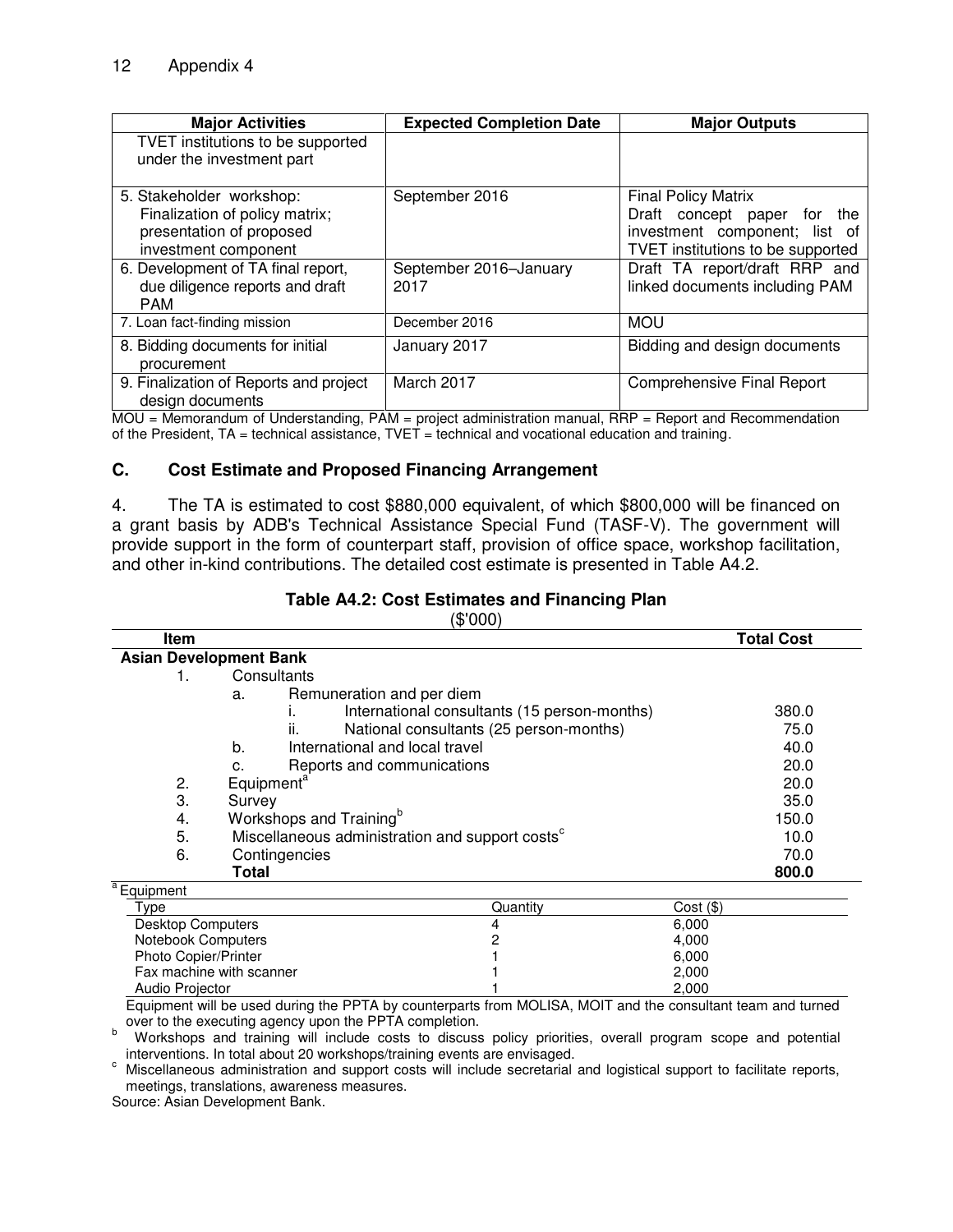| <b>Major Activities</b>                                                                                        | <b>Expected Completion Date</b> | <b>Major Outputs</b>                                                                                                            |
|----------------------------------------------------------------------------------------------------------------|---------------------------------|---------------------------------------------------------------------------------------------------------------------------------|
| TVET institutions to be supported<br>under the investment part                                                 |                                 |                                                                                                                                 |
| 5. Stakeholder workshop:<br>Finalization of policy matrix;<br>presentation of proposed<br>investment component | September 2016                  | <b>Final Policy Matrix</b><br>Draft concept paper for the<br>investment component; list of<br>TVET institutions to be supported |
| 6. Development of TA final report,<br>due diligence reports and draft<br><b>PAM</b>                            | September 2016-January<br>2017  | Draft TA report/draft RRP and<br>linked documents including PAM                                                                 |
| 7. Loan fact-finding mission                                                                                   | December 2016                   | <b>MOU</b>                                                                                                                      |
| 8. Bidding documents for initial<br>procurement                                                                | January 2017                    | Bidding and design documents                                                                                                    |
| 9. Finalization of Reports and project<br>design documents                                                     | March 2017                      | <b>Comprehensive Final Report</b>                                                                                               |

MOU = Memorandum of Understanding, PAM = project administration manual, RRP = Report and Recommendation of the President,  $TA =$  technical assistance,  $TVET =$  technical and vocational education and training.

#### **C. Cost Estimate and Proposed Financing Arrangement**

4. The TA is estimated to cost \$880,000 equivalent, of which \$800,000 will be financed on a grant basis by ADB's Technical Assistance Special Fund (TASF-V). The government will provide support in the form of counterpart staff, provision of office space, workshop facilitation, and other in-kind contributions. The detailed cost estimate is presented in Table A4.2.

| <b>Item</b>            |                                                             | <b>Total Cost</b> |
|------------------------|-------------------------------------------------------------|-------------------|
|                        | <b>Asian Development Bank</b>                               |                   |
|                        | Consultants                                                 |                   |
|                        | Remuneration and per diem<br>a.                             |                   |
|                        | International consultants (15 person-months)                | 380.0             |
|                        | ii.<br>National consultants (25 person-months)              | 75.0              |
|                        | International and local travel<br>b.                        | 40.0              |
|                        | Reports and communications<br>c.                            | 20.0              |
| 2.                     | Equipment <sup>a</sup>                                      | 20.0              |
| 3.                     | Survey                                                      | 35.0              |
| 4.                     | Workshops and Training <sup>b</sup>                         | 150.0             |
| 5.                     | Miscellaneous administration and support costs <sup>c</sup> | 10.0              |
| 6.                     | Contingencies                                               | 70.0              |
|                        | Total                                                       | 800.0             |
| <sup>a</sup> Equipment |                                                             |                   |

# **Table A4.2: Cost Estimates and Financing Plan**

 $($ \$' $000)$ 

| LUUIDITIEII              |          |             |  |
|--------------------------|----------|-------------|--|
| Туре                     | Quantitv | Cost ( \$ ) |  |
| Desktop Computers        | 4        | 6.000       |  |
| Notebook Computers       |          | 4.000       |  |
| Photo Copier/Printer     |          | 6.000       |  |
| Fax machine with scanner |          | 2.000       |  |
| Audio Projector          |          | 2.000       |  |

Equipment will be used during the PPTA by counterparts from MOLISA, MOIT and the consultant team and turned over to the executing agency upon the PPTA completion.

b Workshops and training will include costs to discuss policy priorities, overall program scope and potential interventions. In total about 20 workshops/training events are envisaged.

c Miscellaneous administration and support costs will include secretarial and logistical support to facilitate reports, meetings, translations, awareness measures.

Source: Asian Development Bank.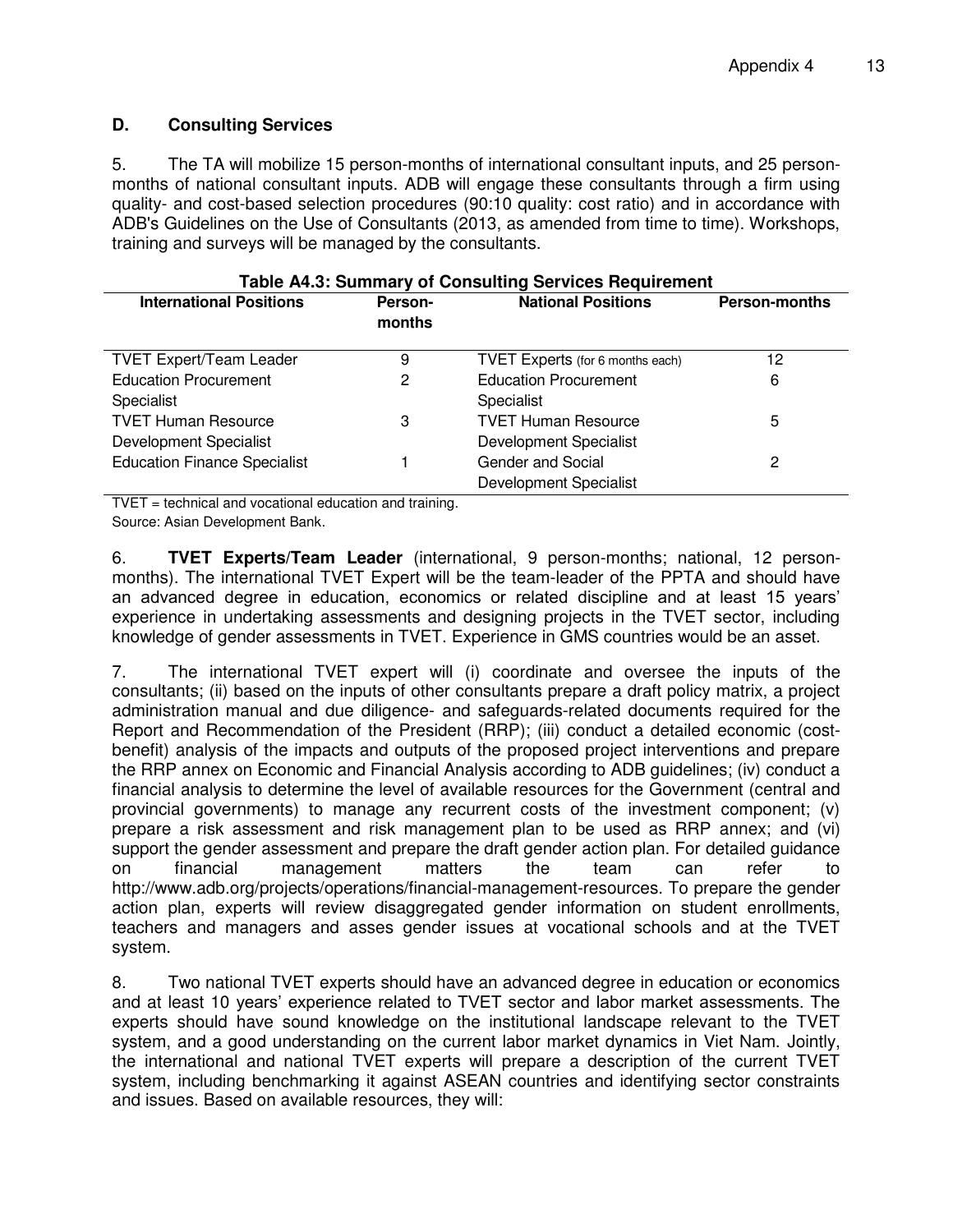#### **D. Consulting Services**

5. The TA will mobilize 15 person-months of international consultant inputs, and 25 personmonths of national consultant inputs. ADB will engage these consultants through a firm using quality- and cost-based selection procedures (90:10 quality: cost ratio) and in accordance with ADB's Guidelines on the Use of Consultants (2013, as amended from time to time). Workshops, training and surveys will be managed by the consultants.

| Table A4.3: Summary of Consulting Services Requirement |                   |                                  |                      |  |
|--------------------------------------------------------|-------------------|----------------------------------|----------------------|--|
| <b>International Positions</b>                         | Person-<br>months | <b>National Positions</b>        | <b>Person-months</b> |  |
| <b>TVET Expert/Team Leader</b>                         | 9                 | TVET Experts (for 6 months each) | 12                   |  |
| <b>Education Procurement</b>                           | 2                 | <b>Education Procurement</b>     | 6                    |  |
| Specialist                                             |                   | Specialist                       |                      |  |
| <b>TVET Human Resource</b>                             | 3                 | <b>TVET Human Resource</b>       | 5                    |  |
| Development Specialist                                 |                   | Development Specialist           |                      |  |
| <b>Education Finance Specialist</b>                    |                   | Gender and Social                | 2                    |  |
|                                                        |                   | <b>Development Specialist</b>    |                      |  |

TVET = technical and vocational education and training. Source: Asian Development Bank.

6. **TVET Experts/Team Leader** (international, 9 person-months; national, 12 personmonths). The international TVET Expert will be the team-leader of the PPTA and should have an advanced degree in education, economics or related discipline and at least 15 years' experience in undertaking assessments and designing projects in the TVET sector, including knowledge of gender assessments in TVET. Experience in GMS countries would be an asset.

7. The international TVET expert will (i) coordinate and oversee the inputs of the consultants; (ii) based on the inputs of other consultants prepare a draft policy matrix, a project administration manual and due diligence- and safeguards-related documents required for the Report and Recommendation of the President (RRP); (iii) conduct a detailed economic (costbenefit) analysis of the impacts and outputs of the proposed project interventions and prepare the RRP annex on Economic and Financial Analysis according to ADB guidelines; (iv) conduct a financial analysis to determine the level of available resources for the Government (central and provincial governments) to manage any recurrent costs of the investment component; (v) prepare a risk assessment and risk management plan to be used as RRP annex; and (vi) support the gender assessment and prepare the draft gender action plan. For detailed guidance on financial management matters the team can refer to http://www.adb.org/projects/operations/financial-management-resources. To prepare the gender action plan, experts will review disaggregated gender information on student enrollments, teachers and managers and asses gender issues at vocational schools and at the TVET system.

8. Two national TVET experts should have an advanced degree in education or economics and at least 10 years' experience related to TVET sector and labor market assessments. The experts should have sound knowledge on the institutional landscape relevant to the TVET system, and a good understanding on the current labor market dynamics in Viet Nam. Jointly, the international and national TVET experts will prepare a description of the current TVET system, including benchmarking it against ASEAN countries and identifying sector constraints and issues. Based on available resources, they will: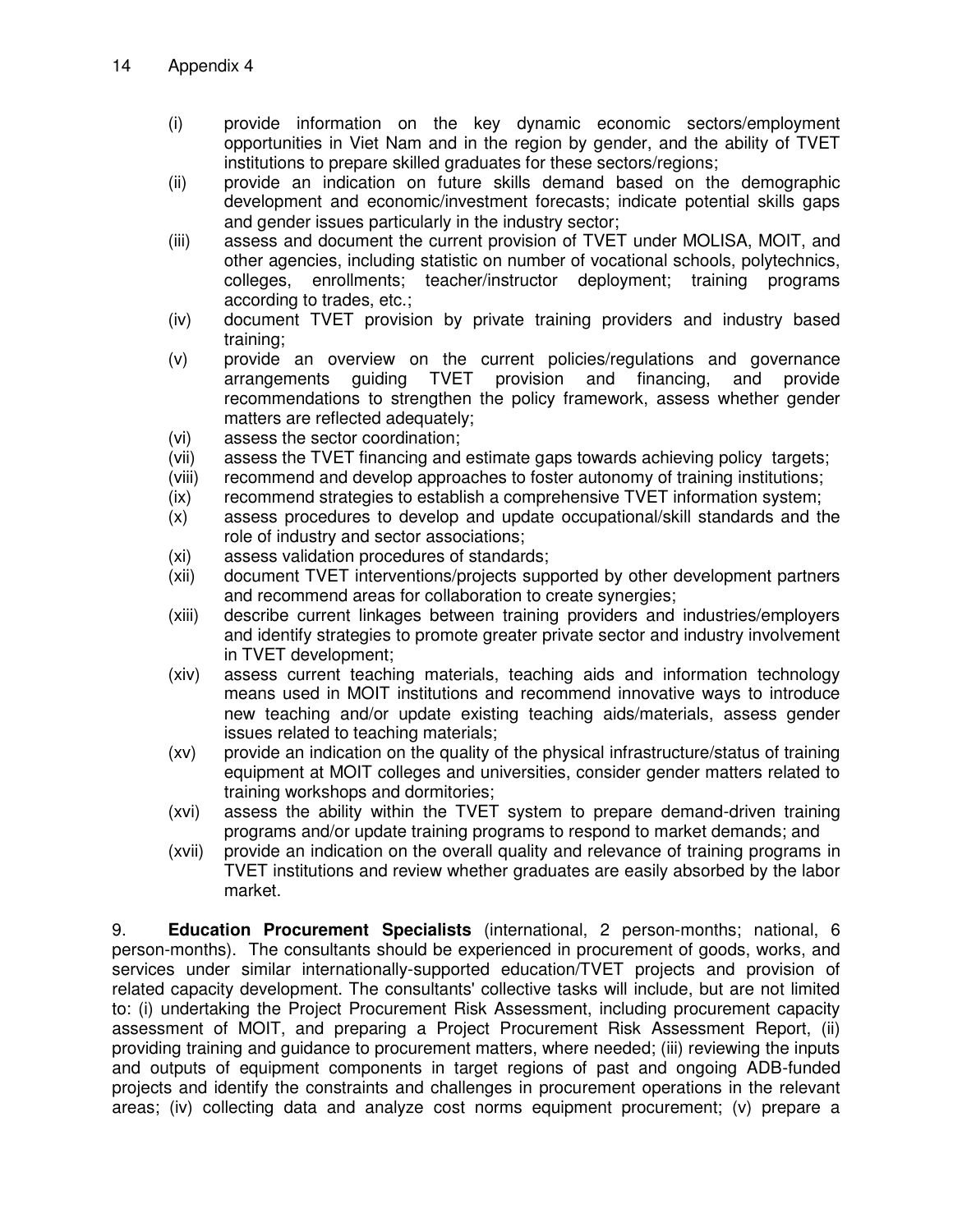- (i) provide information on the key dynamic economic sectors/employment opportunities in Viet Nam and in the region by gender, and the ability of TVET institutions to prepare skilled graduates for these sectors/regions;
- (ii) provide an indication on future skills demand based on the demographic development and economic/investment forecasts; indicate potential skills gaps and gender issues particularly in the industry sector;
- (iii) assess and document the current provision of TVET under MOLISA, MOIT, and other agencies, including statistic on number of vocational schools, polytechnics, colleges, enrollments; teacher/instructor deployment; training programs according to trades, etc.;
- (iv) document TVET provision by private training providers and industry based training;
- (v) provide an overview on the current policies/regulations and governance<br>arrangements guiding TVET provision and financing, and provide arrangements guiding TVET provision and financing, and provide recommendations to strengthen the policy framework, assess whether gender matters are reflected adequately;
- (vi) assess the sector coordination;
- (vii) assess the TVET financing and estimate gaps towards achieving policy targets;
- (viii) recommend and develop approaches to foster autonomy of training institutions;
- (ix) recommend strategies to establish a comprehensive TVET information system;
- (x) assess procedures to develop and update occupational/skill standards and the role of industry and sector associations;
- (xi) assess validation procedures of standards;
- (xii) document TVET interventions/projects supported by other development partners and recommend areas for collaboration to create synergies;
- (xiii) describe current linkages between training providers and industries/employers and identify strategies to promote greater private sector and industry involvement in TVET development;
- (xiv) assess current teaching materials, teaching aids and information technology means used in MOIT institutions and recommend innovative ways to introduce new teaching and/or update existing teaching aids/materials, assess gender issues related to teaching materials;
- (xv) provide an indication on the quality of the physical infrastructure/status of training equipment at MOIT colleges and universities, consider gender matters related to training workshops and dormitories;
- (xvi) assess the ability within the TVET system to prepare demand-driven training programs and/or update training programs to respond to market demands; and
- (xvii) provide an indication on the overall quality and relevance of training programs in TVET institutions and review whether graduates are easily absorbed by the labor market.

9. **Education Procurement Specialists** (international, 2 person-months; national, 6 person-months). The consultants should be experienced in procurement of goods, works, and services under similar internationally-supported education/TVET projects and provision of related capacity development. The consultants' collective tasks will include, but are not limited to: (i) undertaking the Project Procurement Risk Assessment, including procurement capacity assessment of MOIT, and preparing a Project Procurement Risk Assessment Report, (ii) providing training and guidance to procurement matters, where needed; (iii) reviewing the inputs and outputs of equipment components in target regions of past and ongoing ADB-funded projects and identify the constraints and challenges in procurement operations in the relevant areas; (iv) collecting data and analyze cost norms equipment procurement; (v) prepare a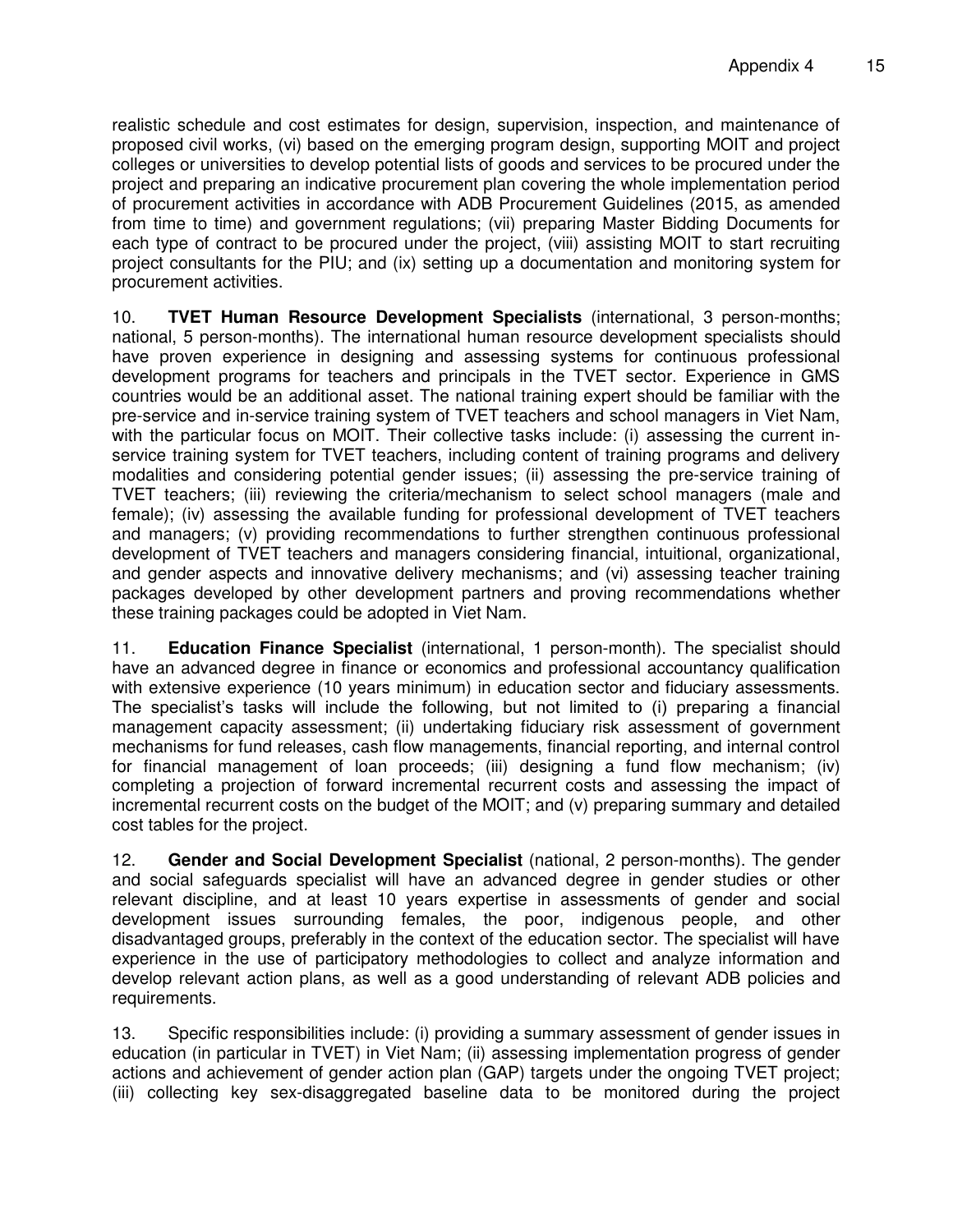realistic schedule and cost estimates for design, supervision, inspection, and maintenance of proposed civil works, (vi) based on the emerging program design, supporting MOIT and project colleges or universities to develop potential lists of goods and services to be procured under the project and preparing an indicative procurement plan covering the whole implementation period of procurement activities in accordance with ADB Procurement Guidelines (2015, as amended from time to time) and government regulations; (vii) preparing Master Bidding Documents for each type of contract to be procured under the project, (viii) assisting MOIT to start recruiting project consultants for the PIU; and (ix) setting up a documentation and monitoring system for procurement activities.

10. **TVET Human Resource Development Specialists** (international, 3 person-months; national, 5 person-months). The international human resource development specialists should have proven experience in designing and assessing systems for continuous professional development programs for teachers and principals in the TVET sector. Experience in GMS countries would be an additional asset. The national training expert should be familiar with the pre-service and in-service training system of TVET teachers and school managers in Viet Nam, with the particular focus on MOIT. Their collective tasks include: (i) assessing the current inservice training system for TVET teachers, including content of training programs and delivery modalities and considering potential gender issues; (ii) assessing the pre-service training of TVET teachers; (iii) reviewing the criteria/mechanism to select school managers (male and female); (iv) assessing the available funding for professional development of TVET teachers and managers; (v) providing recommendations to further strengthen continuous professional development of TVET teachers and managers considering financial, intuitional, organizational, and gender aspects and innovative delivery mechanisms; and (vi) assessing teacher training packages developed by other development partners and proving recommendations whether these training packages could be adopted in Viet Nam.

11. **Education Finance Specialist** (international, 1 person-month). The specialist should have an advanced degree in finance or economics and professional accountancy qualification with extensive experience (10 years minimum) in education sector and fiduciary assessments. The specialist's tasks will include the following, but not limited to (i) preparing a financial management capacity assessment; (ii) undertaking fiduciary risk assessment of government mechanisms for fund releases, cash flow managements, financial reporting, and internal control for financial management of loan proceeds; (iii) designing a fund flow mechanism; (iv) completing a projection of forward incremental recurrent costs and assessing the impact of incremental recurrent costs on the budget of the MOIT; and (v) preparing summary and detailed cost tables for the project.

12. **Gender and Social Development Specialist** (national, 2 person-months). The gender and social safeguards specialist will have an advanced degree in gender studies or other relevant discipline, and at least 10 years expertise in assessments of gender and social development issues surrounding females, the poor, indigenous people, and other disadvantaged groups, preferably in the context of the education sector. The specialist will have experience in the use of participatory methodologies to collect and analyze information and develop relevant action plans, as well as a good understanding of relevant ADB policies and requirements.

13. Specific responsibilities include: (i) providing a summary assessment of gender issues in education (in particular in TVET) in Viet Nam; (ii) assessing implementation progress of gender actions and achievement of gender action plan (GAP) targets under the ongoing TVET project; (iii) collecting key sex-disaggregated baseline data to be monitored during the project